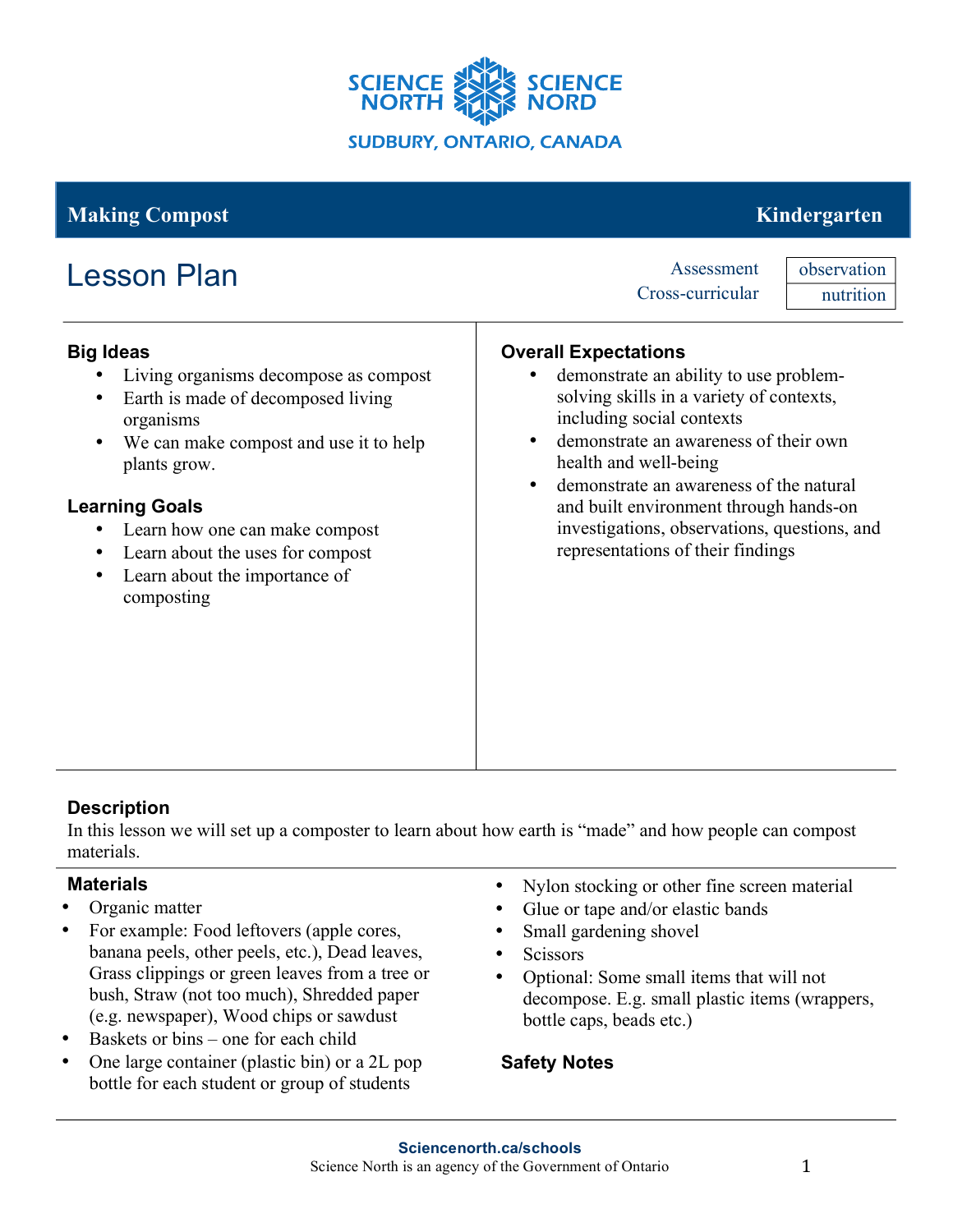

# **Making Compost** Kindergarten

# Lesson Plan Assessment

# Cross-curricular

observation nutrition

### **Big Ideas**

- Living organisms decompose as compost
- Earth is made of decomposed living organisms
- We can make compost and use it to help plants grow.

## **Learning Goals**

- Learn how one can make compost
- Learn about the uses for compost
- Learn about the importance of composting

## **Overall Expectations**

- demonstrate an ability to use problemsolving skills in a variety of contexts, including social contexts
- demonstrate an awareness of their own health and well-being
- demonstrate an awareness of the natural and built environment through hands-on investigations, observations, questions, and representations of their findings

# **Description**

In this lesson we will set up a composter to learn about how earth is "made" and how people can compost materials.

### **Materials**

- Organic matter
- For example: Food leftovers (apple cores, banana peels, other peels, etc.), Dead leaves, Grass clippings or green leaves from a tree or bush, Straw (not too much), Shredded paper (e.g. newspaper), Wood chips or sawdust
- Baskets or bins one for each child
- One large container (plastic bin) or a 2L pop bottle for each student or group of students
- Nylon stocking or other fine screen material
- Glue or tape and/or elastic bands
- Small gardening shovel
- Scissors
- Optional: Some small items that will not decompose. E.g. small plastic items (wrappers, bottle caps, beads etc.)

# **Safety Notes**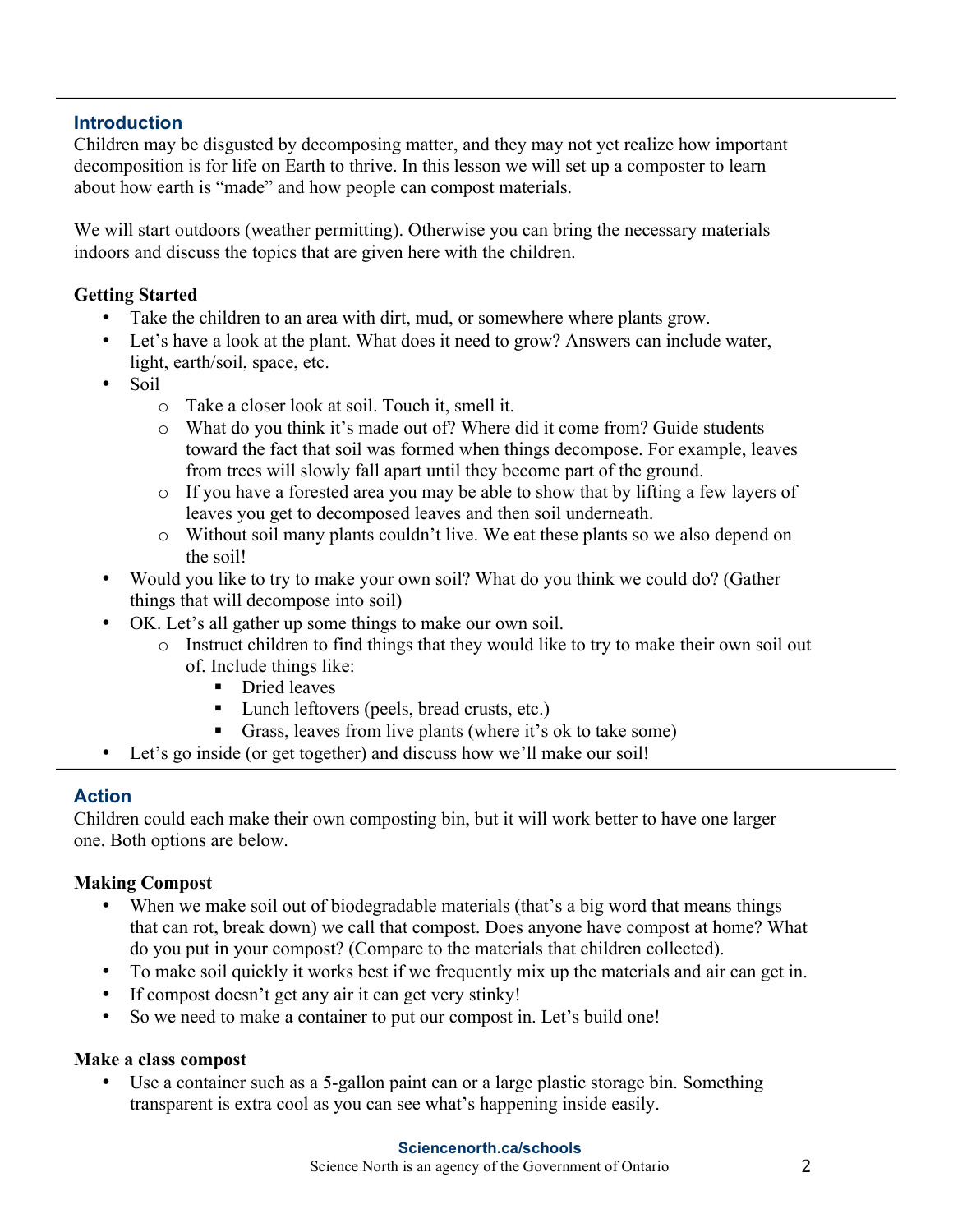### **Introduction**

Children may be disgusted by decomposing matter, and they may not yet realize how important decomposition is for life on Earth to thrive. In this lesson we will set up a composter to learn about how earth is "made" and how people can compost materials.

We will start outdoors (weather permitting). Otherwise you can bring the necessary materials indoors and discuss the topics that are given here with the children.

#### **Getting Started**

- Take the children to an area with dirt, mud, or somewhere where plants grow.
- Let's have a look at the plant. What does it need to grow? Answers can include water, light, earth/soil, space, etc.
- Soil
	- o Take a closer look at soil. Touch it, smell it.
	- o What do you think it's made out of? Where did it come from? Guide students toward the fact that soil was formed when things decompose. For example, leaves from trees will slowly fall apart until they become part of the ground.
	- o If you have a forested area you may be able to show that by lifting a few layers of leaves you get to decomposed leaves and then soil underneath.
	- o Without soil many plants couldn't live. We eat these plants so we also depend on the soil!
- Would you like to try to make your own soil? What do you think we could do? (Gather things that will decompose into soil)
- OK. Let's all gather up some things to make our own soil.
	- o Instruct children to find things that they would like to try to make their own soil out of. Include things like:
		- **•** Dried leaves
		- ! Lunch leftovers (peels, bread crusts, etc.)
		- ! Grass, leaves from live plants (where it's ok to take some)
- Let's go inside (or get together) and discuss how we'll make our soil!

#### **Action**

Children could each make their own composting bin, but it will work better to have one larger one. Both options are below.

#### **Making Compost**

- When we make soil out of biodegradable materials (that's a big word that means things that can rot, break down) we call that compost. Does anyone have compost at home? What do you put in your compost? (Compare to the materials that children collected).
- To make soil quickly it works best if we frequently mix up the materials and air can get in.
- If compost doesn't get any air it can get very stinky!
- So we need to make a container to put our compost in. Let's build one!

#### **Make a class compost**

Use a container such as a 5-gallon paint can or a large plastic storage bin. Something transparent is extra cool as you can see what's happening inside easily.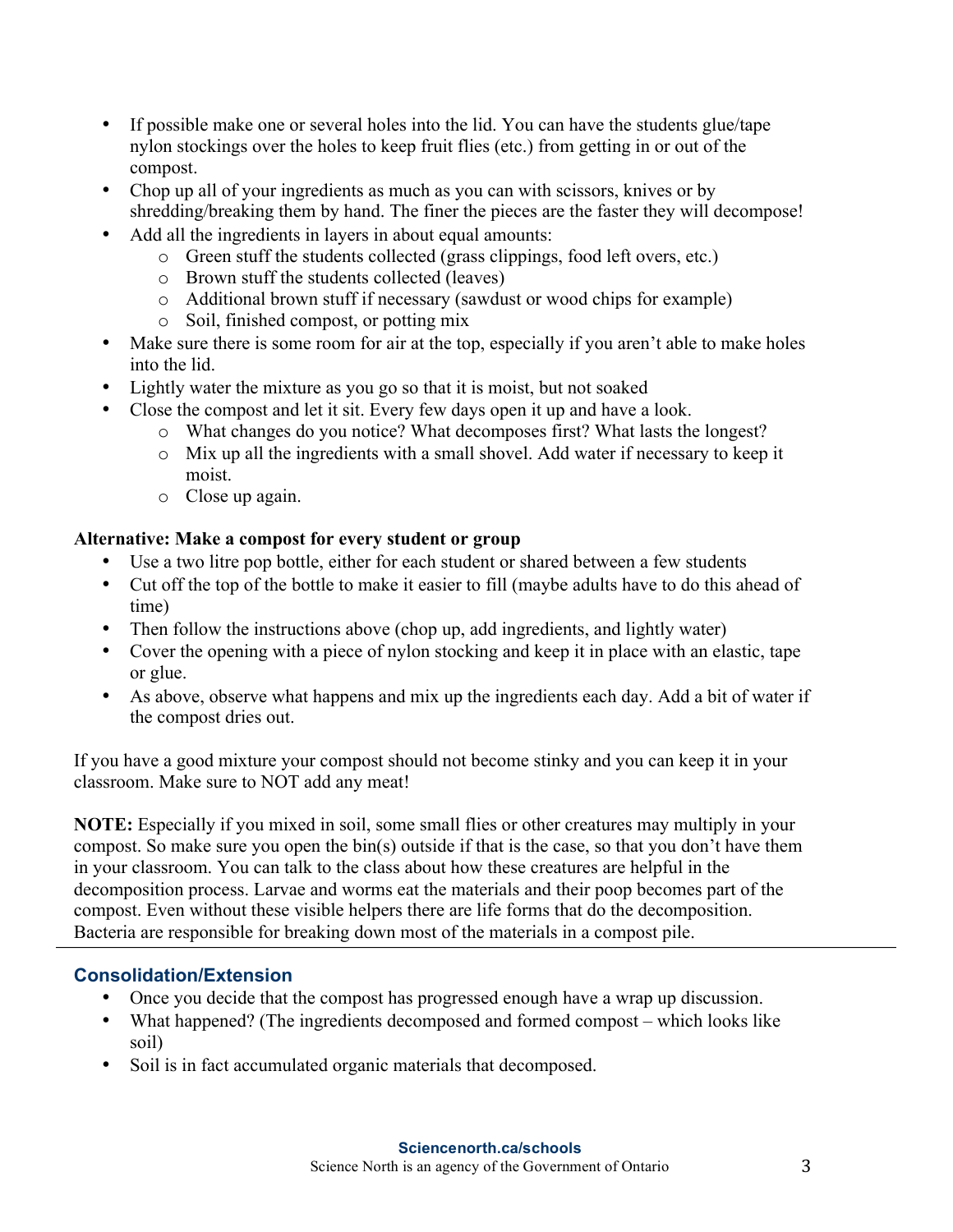- If possible make one or several holes into the lid. You can have the students glue/tape nylon stockings over the holes to keep fruit flies (etc.) from getting in or out of the compost.
- Chop up all of your ingredients as much as you can with scissors, knives or by shredding/breaking them by hand. The finer the pieces are the faster they will decompose!
- Add all the ingredients in layers in about equal amounts:
	- o Green stuff the students collected (grass clippings, food left overs, etc.)
	- o Brown stuff the students collected (leaves)
	- o Additional brown stuff if necessary (sawdust or wood chips for example)
	- o Soil, finished compost, or potting mix
- Make sure there is some room for air at the top, especially if you aren't able to make holes into the lid.
- Lightly water the mixture as you go so that it is moist, but not soaked
- Close the compost and let it sit. Every few days open it up and have a look.
	- o What changes do you notice? What decomposes first? What lasts the longest?
	- o Mix up all the ingredients with a small shovel. Add water if necessary to keep it moist.
	- o Close up again.

## **Alternative: Make a compost for every student or group**

- Use a two litre pop bottle, either for each student or shared between a few students
- Cut off the top of the bottle to make it easier to fill (maybe adults have to do this ahead of time)
- Then follow the instructions above (chop up, add ingredients, and lightly water)
- Cover the opening with a piece of nylon stocking and keep it in place with an elastic, tape or glue.
- As above, observe what happens and mix up the ingredients each day. Add a bit of water if the compost dries out.

If you have a good mixture your compost should not become stinky and you can keep it in your classroom. Make sure to NOT add any meat!

**NOTE:** Especially if you mixed in soil, some small flies or other creatures may multiply in your compost. So make sure you open the bin(s) outside if that is the case, so that you don't have them in your classroom. You can talk to the class about how these creatures are helpful in the decomposition process. Larvae and worms eat the materials and their poop becomes part of the compost. Even without these visible helpers there are life forms that do the decomposition. Bacteria are responsible for breaking down most of the materials in a compost pile.

# **Consolidation/Extension**

- Once you decide that the compost has progressed enough have a wrap up discussion.
- What happened? (The ingredients decomposed and formed compost which looks like soil)
- Soil is in fact accumulated organic materials that decomposed.